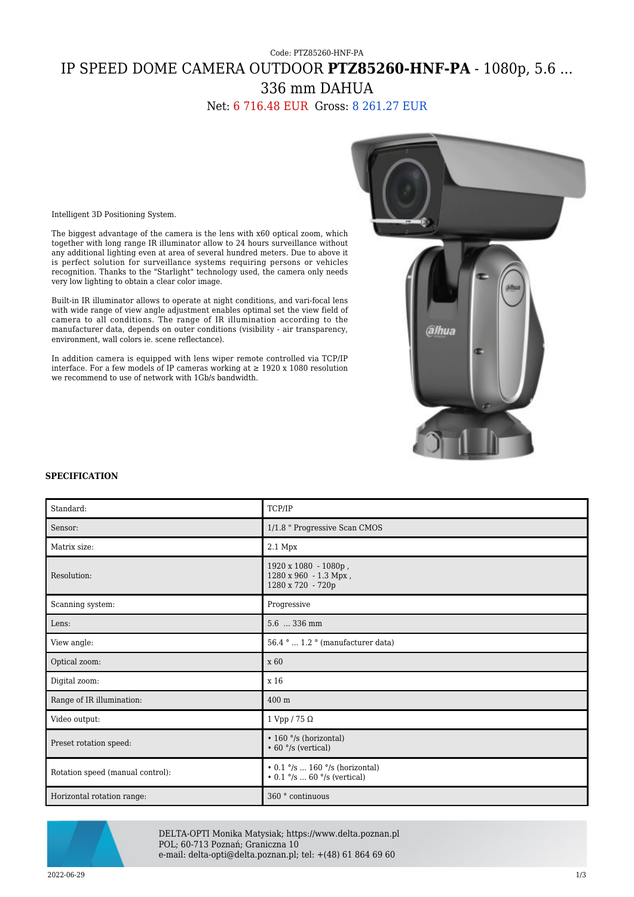# Code: PTZ85260-HNF-PA IP SPEED DOME CAMERA OUTDOOR **PTZ85260-HNF-PA** - 1080p, 5.6 ... 336 mm DAHUA

Net: 6 716.48 EUR Gross: 8 261.27 EUR



Intelligent 3D Positioning System.

The biggest advantage of the camera is the lens with x60 optical zoom, which together with long range IR illuminator allow to 24 hours surveillance without any additional lighting even at area of several hundred meters. Due to above it is perfect solution for surveillance systems requiring persons or vehicles recognition. Thanks to the "Starlight" technology used, the camera only needs very low lighting to obtain a clear color image.

Built-in IR illuminator allows to operate at night conditions, and vari-focal lens with wide range of view angle adjustment enables optimal set the view field of camera to all conditions. The range of IR illumination according to the manufacturer data, depends on outer conditions (visibility - air transparency, environment, wall colors ie. scene reflectance).

In addition camera is equipped with lens wiper remote controlled via TCP/IP interface. For a few models of IP cameras working at ≥ 1920 x 1080 resolution we recommend to use of network with 1Gb/s bandwidth.

#### **SPECIFICATION**

| Standard:                        | TCP/IP                                                                                                    |
|----------------------------------|-----------------------------------------------------------------------------------------------------------|
| Sensor:                          | 1/1.8 " Progressive Scan CMOS                                                                             |
| Matrix size:                     | $2.1\ \mathrm{Mpx}$                                                                                       |
| Resolution:                      | 1920 x 1080 - 1080p,<br>1280 x 960 - 1.3 Mpx,<br>1280 x 720 - 720p                                        |
| Scanning system:                 | Progressive                                                                                               |
| Lens:                            | 5.6  336 mm                                                                                               |
| View angle:                      | 56.4 °  1.2 ° (manufacturer data)                                                                         |
| Optical zoom:                    | x 60                                                                                                      |
| Digital zoom:                    | x 16                                                                                                      |
| Range of IR illumination:        | 400 m                                                                                                     |
| Video output:                    | 1 Vpp / 75 $\Omega$                                                                                       |
| Preset rotation speed:           | • 160 °/s (horizontal)<br>$\cdot$ 60 $\degree$ /s (vertical)                                              |
| Rotation speed (manual control): | $\cdot$ 0.1 $\degree$ /s  160 $\degree$ /s (horizontal)<br>• $0.1 \degree$ /s  60 $\degree$ /s (vertical) |
| Horizontal rotation range:       | 360 ° continuous                                                                                          |



DELTA-OPTI Monika Matysiak; https://www.delta.poznan.pl POL; 60-713 Poznań; Graniczna 10 e-mail: delta-opti@delta.poznan.pl; tel: +(48) 61 864 69 60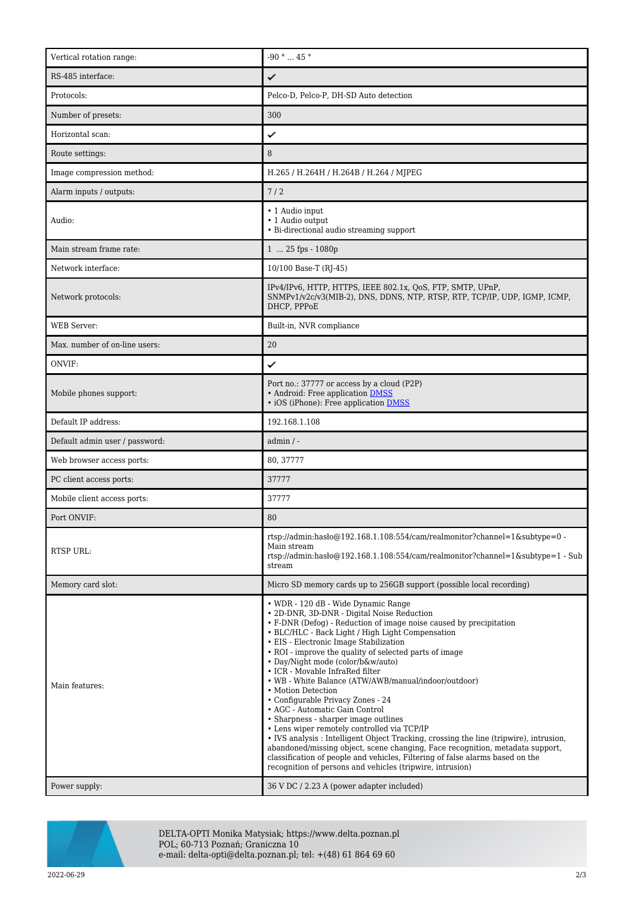| Vertical rotation range:       | -90 $^{\circ}$ $\ldots$ 45 $^{\circ}$                                                                                                                                                                                                                                                                                                                                                                                                                                                                                                                                                                                                                                                                                                                                                                          |
|--------------------------------|----------------------------------------------------------------------------------------------------------------------------------------------------------------------------------------------------------------------------------------------------------------------------------------------------------------------------------------------------------------------------------------------------------------------------------------------------------------------------------------------------------------------------------------------------------------------------------------------------------------------------------------------------------------------------------------------------------------------------------------------------------------------------------------------------------------|
| RS-485 interface:              | ✓                                                                                                                                                                                                                                                                                                                                                                                                                                                                                                                                                                                                                                                                                                                                                                                                              |
| Protocols:                     | Pelco-D, Pelco-P, DH-SD Auto detection                                                                                                                                                                                                                                                                                                                                                                                                                                                                                                                                                                                                                                                                                                                                                                         |
| Number of presets:             | 300                                                                                                                                                                                                                                                                                                                                                                                                                                                                                                                                                                                                                                                                                                                                                                                                            |
| Horizontal scan:               | ✓                                                                                                                                                                                                                                                                                                                                                                                                                                                                                                                                                                                                                                                                                                                                                                                                              |
| Route settings:                | 8                                                                                                                                                                                                                                                                                                                                                                                                                                                                                                                                                                                                                                                                                                                                                                                                              |
| Image compression method:      | H.265 / H.264H / H.264B / H.264 / MJPEG                                                                                                                                                                                                                                                                                                                                                                                                                                                                                                                                                                                                                                                                                                                                                                        |
| Alarm inputs / outputs:        | 7/2                                                                                                                                                                                                                                                                                                                                                                                                                                                                                                                                                                                                                                                                                                                                                                                                            |
| Audio:                         | • 1 Audio input<br>• 1 Audio output<br>• Bi-directional audio streaming support                                                                                                                                                                                                                                                                                                                                                                                                                                                                                                                                                                                                                                                                                                                                |
| Main stream frame rate:        | 1  25 fps - 1080p                                                                                                                                                                                                                                                                                                                                                                                                                                                                                                                                                                                                                                                                                                                                                                                              |
| Network interface:             | 10/100 Base-T (RJ-45)                                                                                                                                                                                                                                                                                                                                                                                                                                                                                                                                                                                                                                                                                                                                                                                          |
| Network protocols:             | IPv4/IPv6, HTTP, HTTPS, IEEE 802.1x, QoS, FTP, SMTP, UPnP,<br>SNMPv1/v2c/v3(MIB-2), DNS, DDNS, NTP, RTSP, RTP, TCP/IP, UDP, IGMP, ICMP,<br>DHCP, PPPoE                                                                                                                                                                                                                                                                                                                                                                                                                                                                                                                                                                                                                                                         |
| <b>WEB</b> Server:             | Built-in, NVR compliance                                                                                                                                                                                                                                                                                                                                                                                                                                                                                                                                                                                                                                                                                                                                                                                       |
| Max. number of on-line users:  | 20                                                                                                                                                                                                                                                                                                                                                                                                                                                                                                                                                                                                                                                                                                                                                                                                             |
| ONVIF:                         | ✓                                                                                                                                                                                                                                                                                                                                                                                                                                                                                                                                                                                                                                                                                                                                                                                                              |
| Mobile phones support:         | Port no.: 37777 or access by a cloud (P2P)<br>• Android: Free application DMSS<br>• iOS (iPhone): Free application DMSS                                                                                                                                                                                                                                                                                                                                                                                                                                                                                                                                                                                                                                                                                        |
| Default IP address:            | 192.168.1.108                                                                                                                                                                                                                                                                                                                                                                                                                                                                                                                                                                                                                                                                                                                                                                                                  |
| Default admin user / password: | $admin / -$                                                                                                                                                                                                                                                                                                                                                                                                                                                                                                                                                                                                                                                                                                                                                                                                    |
| Web browser access ports:      | 80, 37777                                                                                                                                                                                                                                                                                                                                                                                                                                                                                                                                                                                                                                                                                                                                                                                                      |
| PC client access ports:        | 37777                                                                                                                                                                                                                                                                                                                                                                                                                                                                                                                                                                                                                                                                                                                                                                                                          |
| Mobile client access ports:    | 37777                                                                                                                                                                                                                                                                                                                                                                                                                                                                                                                                                                                                                                                                                                                                                                                                          |
| Port ONVIF:                    | 80                                                                                                                                                                                                                                                                                                                                                                                                                                                                                                                                                                                                                                                                                                                                                                                                             |
| RTSP URL:                      | rtsp://admin.hasbo $@192.168.1.108.554/cam/realmonitor?channel=1$ &subtype=0 -<br>Main stream<br>rtsp://admin.hasho@192.168.1.108:554/cam/realmonitor?channel=1&subtype=1 - Sub<br>stream                                                                                                                                                                                                                                                                                                                                                                                                                                                                                                                                                                                                                      |
| Memory card slot:              | Micro SD memory cards up to 256GB support (possible local recording)                                                                                                                                                                                                                                                                                                                                                                                                                                                                                                                                                                                                                                                                                                                                           |
| Main features:                 | • WDR - 120 dB - Wide Dynamic Range<br>· 2D-DNR, 3D-DNR - Digital Noise Reduction<br>• F-DNR (Defog) - Reduction of image noise caused by precipitation<br>• BLC/HLC - Back Light / High Light Compensation<br>• EIS - Electronic Image Stabilization<br>• ROI - improve the quality of selected parts of image<br>• Day/Night mode (color/b&w/auto)<br>• ICR - Movable InfraRed filter<br>• WB - White Balance (ATW/AWB/manual/indoor/outdoor)<br>• Motion Detection<br>• Configurable Privacy Zones - 24<br>• AGC - Automatic Gain Control<br>• Sharpness - sharper image outlines<br>• Lens wiper remotely controlled via TCP/IP<br>• IVS analysis : Intelligent Object Tracking, crossing the line (tripwire), intrusion,<br>abandoned/missing object, scene changing, Face recognition, metadata support, |
|                                | classification of people and vehicles, Filtering of false alarms based on the<br>recognition of persons and vehicles (tripwire, intrusion)                                                                                                                                                                                                                                                                                                                                                                                                                                                                                                                                                                                                                                                                     |



DELTA-OPTI Monika Matysiak; https://www.delta.poznan.pl POL; 60-713 Poznań; Graniczna 10 e-mail: delta-opti@delta.poznan.pl; tel: +(48) 61 864 69 60